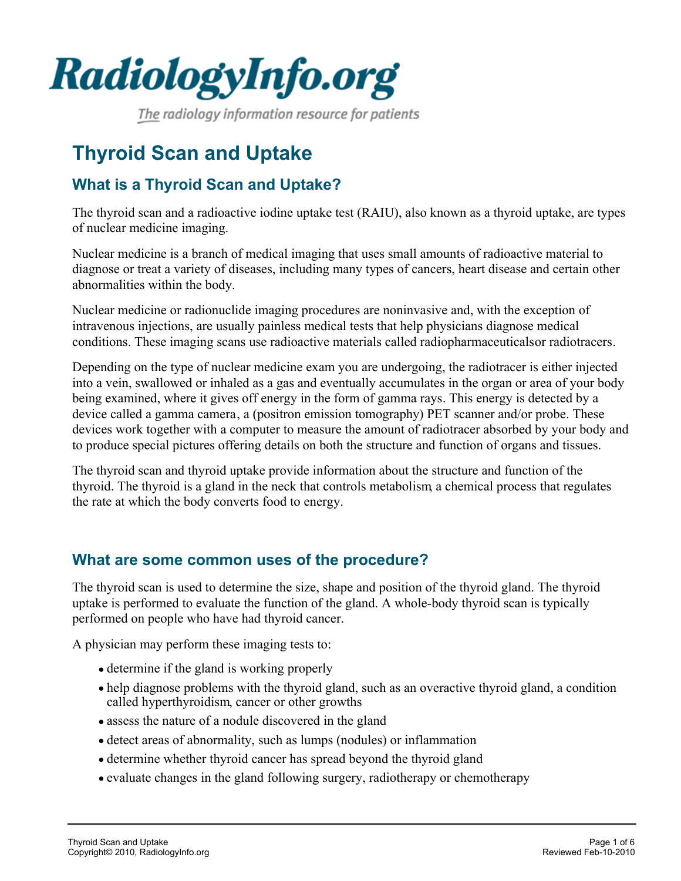

The radiology information resource for patients

# **Thyroid Scan and Uptake**

# **What is a Thyroid Scan and Uptake?**

The thyroid scan and a radioactive iodine uptake test (RAIU), also known as a thyroid uptake, are types of nuclear medicine imaging.

Nuclear medicine is a branch of medical imaging that uses small amounts of radioactive material to diagnose or treat a variety of diseases, including many types of cancers, heart disease and certain other abnormalities within the body.

Nuclear medicine or radionuclide imaging procedures are noninvasive and, with the exception of intravenous injections, are usually painless medical tests that help physicians diagnose medical conditions. These imaging scans use radioactive materials called radiopharmaceuticals or radiotracers.

Depending on the type of nuclear medicine exam you are undergoing, the radiotracer is either injected into a vein, swallowed or inhaled as a gas and eventually accumulates in the organ or area of your body being examined, where it gives off energy in the form of gamma rays. This energy is detected by a device called a gamma camera, a (positron emission tomography) PET scanner and/or probe. These devices work together with a computer to measure the amount of radiotracer absorbed by your body and to produce special pictures offering details on both the structure and function of organs and tissues.

The thyroid scan and thyroid uptake provide information about the structure and function of the thyroid. The thyroid is a gland in the neck that controls metabolism, a chemical process that regulates the rate at which the body converts food to energy.

# **What are some common uses of the procedure?**

The thyroid scan is used to determine the size, shape and position of the thyroid gland. The thyroid uptake is performed to evaluate the function of the gland. A whole-body thyroid scan is typically performed on people who have had thyroid cancer.

A physician may perform these imaging tests to:

- determine if the gland is working properly
- help diagnose problems with the thyroid gland, such as an overactive thyroid gland, a condition called hyperthyroidism, cancer or other growths
- assess the nature of a nodule discovered in the gland
- detect areas of abnormality, such as lumps (nodules) or inflammation
- determine whether thyroid cancer has spread beyond the thyroid gland
- evaluate changes in the gland following surgery, radiotherapy or chemotherapy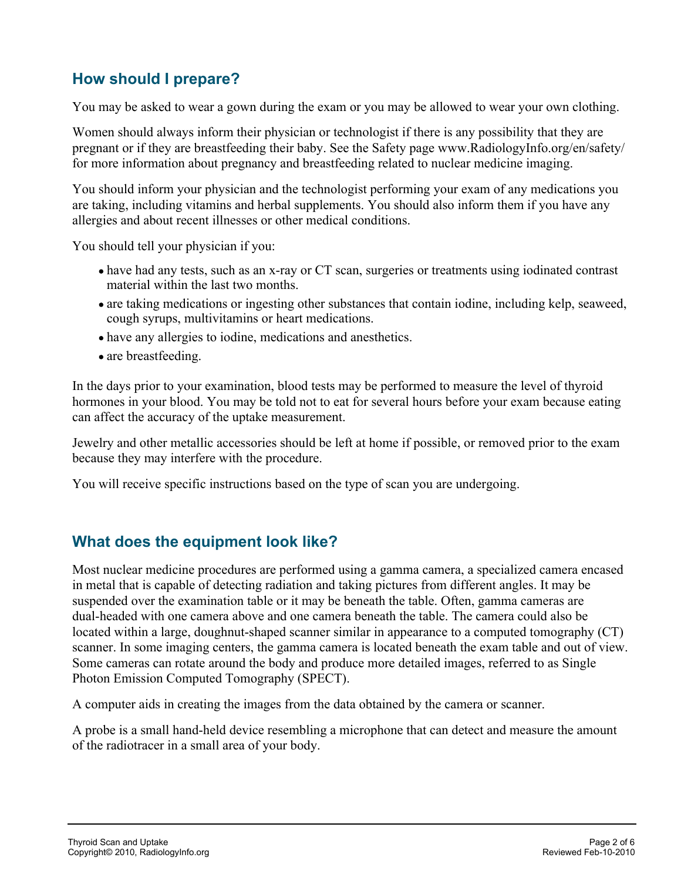# **How should I prepare?**

You may be asked to wear a gown during the exam or you may be allowed to wear your own clothing.

Women should always inform their physician or technologist if there is any possibility that they are pregnant or if they are breastfeeding their baby. See the Safety page www.RadiologyInfo.org/en/safety/ for more information about pregnancy and breastfeeding related to nuclear medicine imaging.

You should inform your physician and the technologist performing your exam of any medications you are taking, including vitamins and herbal supplements. You should also inform them if you have any allergies and about recent illnesses or other medical conditions.

You should tell your physician if you:

- have had any tests, such as an x-ray or CT scan, surgeries or treatments using iodinated contrast material within the last two months.
- are taking medications or ingesting other substances that contain iodine, including kelp, seaweed, cough syrups, multivitamins or heart medications.
- have any allergies to iodine, medications and anesthetics.
- are breastfeeding.

In the days prior to your examination, blood tests may be performed to measure the level of thyroid hormones in your blood. You may be told not to eat for several hours before your exam because eating can affect the accuracy of the uptake measurement.

Jewelry and other metallic accessories should be left at home if possible, or removed prior to the exam because they may interfere with the procedure.

You will receive specific instructions based on the type of scan you are undergoing.

#### **What does the equipment look like?**

Most nuclear medicine procedures are performed using a gamma camera, a specialized camera encased in metal that is capable of detecting radiation and taking pictures from different angles. It may be suspended over the examination table or it may be beneath the table. Often, gamma cameras are dual-headed with one camera above and one camera beneath the table. The camera could also be located within a large, doughnut-shaped scanner similar in appearance to a computed tomography (CT) scanner. In some imaging centers, the gamma camera is located beneath the exam table and out of view. Some cameras can rotate around the body and produce more detailed images, referred to as Single Photon Emission Computed Tomography (SPECT).

A computer aids in creating the images from the data obtained by the camera or scanner.

A probe is a small hand-held device resembling a microphone that can detect and measure the amount of the radiotracer in a small area of your body.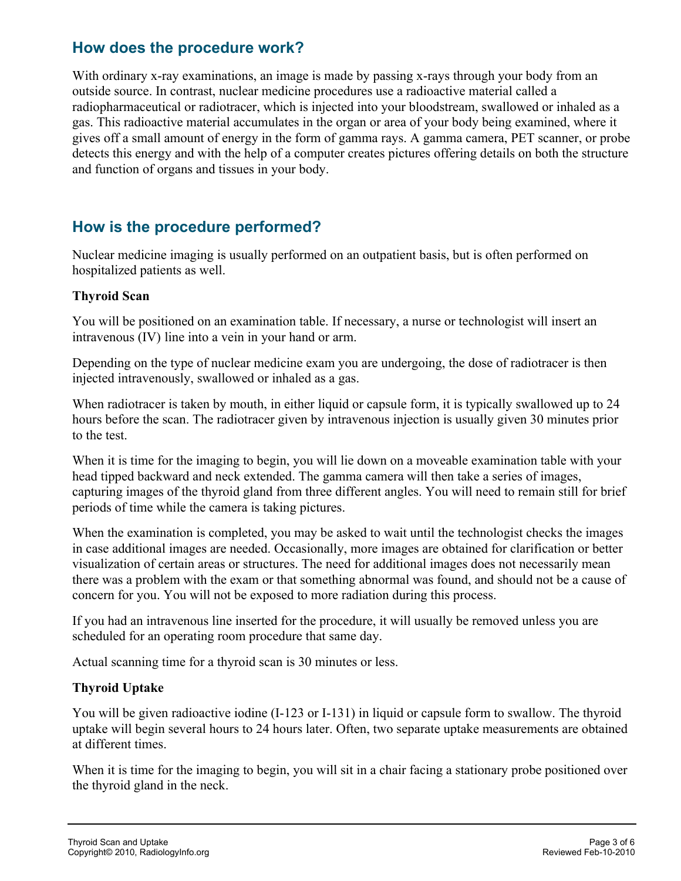### **How does the procedure work?**

With ordinary x-ray examinations, an image is made by passing x-rays through your body from an outside source. In contrast, nuclear medicine procedures use a radioactive material called a radiopharmaceutical or radiotracer, which is injected into your bloodstream, swallowed or inhaled as a gas. This radioactive material accumulates in the organ or area of your body being examined, where it gives off a small amount of energy in the form of gamma rays. A gamma camera, PET scanner, or probe detects this energy and with the help of a computer creates pictures offering details on both the structure and function of organs and tissues in your body.

### **How is the procedure performed?**

Nuclear medicine imaging is usually performed on an outpatient basis, but is often performed on hospitalized patients as well.

#### **Thyroid Scan**

You will be positioned on an examination table. If necessary, a nurse or technologist will insert an intravenous (IV) line into a vein in your hand or arm.

Depending on the type of nuclear medicine exam you are undergoing, the dose of radiotracer is then injected intravenously, swallowed or inhaled as a gas.

When radiotracer is taken by mouth, in either liquid or capsule form, it is typically swallowed up to 24 hours before the scan. The radiotracer given by intravenous injection is usually given 30 minutes prior to the test.

When it is time for the imaging to begin, you will lie down on a moveable examination table with your head tipped backward and neck extended. The gamma camera will then take a series of images, capturing images of the thyroid gland from three different angles. You will need to remain still for brief periods of time while the camera is taking pictures.

When the examination is completed, you may be asked to wait until the technologist checks the images in case additional images are needed. Occasionally, more images are obtained for clarification or better visualization of certain areas or structures. The need for additional images does not necessarily mean there was a problem with the exam or that something abnormal was found, and should not be a cause of concern for you. You will not be exposed to more radiation during this process.

If you had an intravenous line inserted for the procedure, it will usually be removed unless you are scheduled for an operating room procedure that same day.

Actual scanning time for a thyroid scan is 30 minutes or less.

#### **Thyroid Uptake**

You will be given radioactive iodine (I-123 or I-131) in liquid or capsule form to swallow. The thyroid uptake will begin several hours to 24 hours later. Often, two separate uptake measurements are obtained at different times.

When it is time for the imaging to begin, you will sit in a chair facing a stationary probe positioned over the thyroid gland in the neck.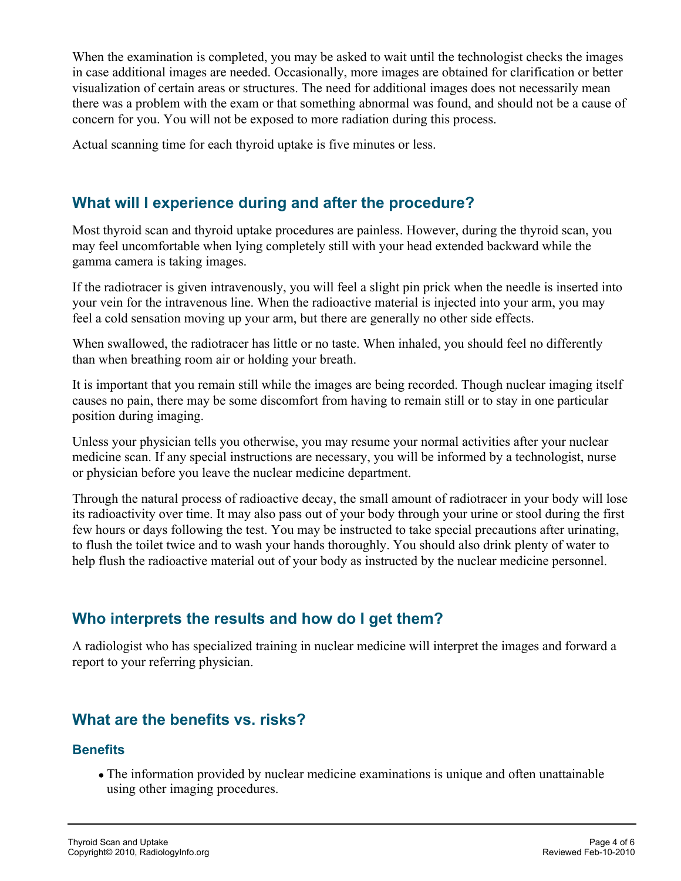When the examination is completed, you may be asked to wait until the technologist checks the images in case additional images are needed. Occasionally, more images are obtained for clarification or better visualization of certain areas or structures. The need for additional images does not necessarily mean there was a problem with the exam or that something abnormal was found, and should not be a cause of concern for you. You will not be exposed to more radiation during this process.

Actual scanning time for each thyroid uptake is five minutes or less.

### **What will I experience during and after the procedure?**

Most thyroid scan and thyroid uptake procedures are painless. However, during the thyroid scan, you may feel uncomfortable when lying completely still with your head extended backward while the gamma camera is taking images.

If the radiotracer is given intravenously, you will feel a slight pin prick when the needle is inserted into your vein for the intravenous line. When the radioactive material is injected into your arm, you may feel a cold sensation moving up your arm, but there are generally no other side effects.

When swallowed, the radiotracer has little or no taste. When inhaled, you should feel no differently than when breathing room air or holding your breath.

It is important that you remain still while the images are being recorded. Though nuclear imaging itself causes no pain, there may be some discomfort from having to remain still or to stay in one particular position during imaging.

Unless your physician tells you otherwise, you may resume your normal activities after your nuclear medicine scan. If any special instructions are necessary, you will be informed by a technologist, nurse or physician before you leave the nuclear medicine department.

Through the natural process of radioactive decay, the small amount of radiotracer in your body will lose its radioactivity over time. It may also pass out of your body through your urine or stool during the first few hours or days following the test. You may be instructed to take special precautions after urinating, to flush the toilet twice and to wash your hands thoroughly. You should also drink plenty of water to help flush the radioactive material out of your body as instructed by the nuclear medicine personnel.

# **Who interprets the results and how do I get them?**

A radiologist who has specialized training in nuclear medicine will interpret the images and forward a report to your referring physician.

#### **What are the benefits vs. risks?**

#### **Benefits**

The information provided by nuclear medicine examinations is unique and often unattainable using other imaging procedures.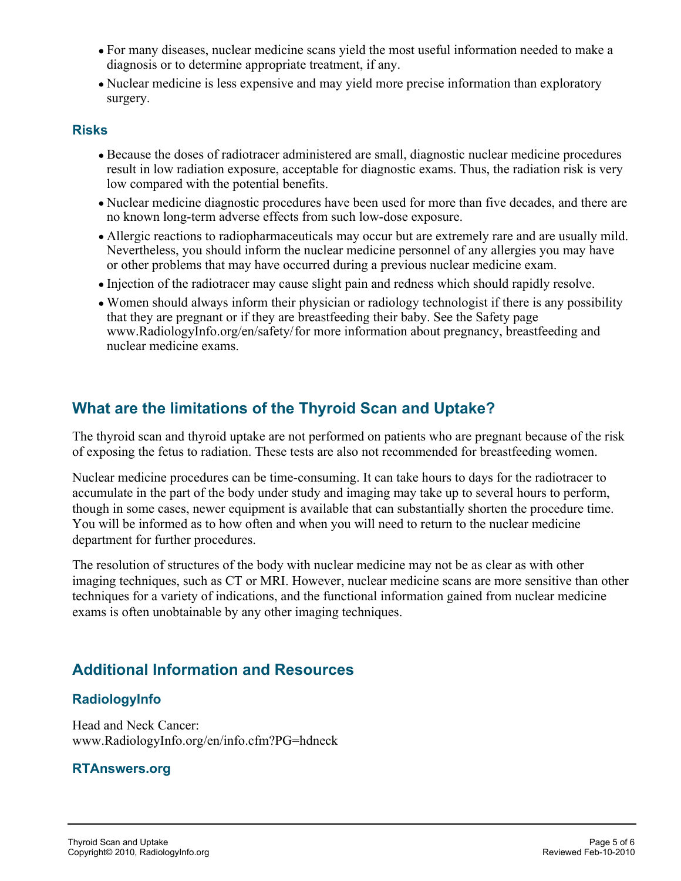- For many diseases, nuclear medicine scans yield the most useful information needed to make a diagnosis or to determine appropriate treatment, if any.
- Nuclear medicine is less expensive and may yield more precise information than exploratory surgery.

#### **Risks**

- Because the doses of radiotracer administered are small, diagnostic nuclear medicine procedures result in low radiation exposure, acceptable for diagnostic exams. Thus, the radiation risk is very low compared with the potential benefits.
- Nuclear medicine diagnostic procedures have been used for more than five decades, and there are no known long-term adverse effects from such low-dose exposure.
- Allergic reactions to radiopharmaceuticals may occur but are extremely rare and are usually mild. Nevertheless, you should inform the nuclear medicine personnel of any allergies you may have or other problems that may have occurred during a previous nuclear medicine exam.
- Injection of the radiotracer may cause slight pain and redness which should rapidly resolve.
- Women should always inform their physician or radiology technologist if there is any possibility that they are pregnant or if they are breastfeeding their baby. See the Safety page www.RadiologyInfo.org/en/safety/ for more information about pregnancy, breastfeeding and nuclear medicine exams.

# **What are the limitations of the Thyroid Scan and Uptake?**

The thyroid scan and thyroid uptake are not performed on patients who are pregnant because of the risk of exposing the fetus to radiation. These tests are also not recommended for breastfeeding women.

Nuclear medicine procedures can be time-consuming. It can take hours to days for the radiotracer to accumulate in the part of the body under study and imaging may take up to several hours to perform, though in some cases, newer equipment is available that can substantially shorten the procedure time. You will be informed as to how often and when you will need to return to the nuclear medicine department for further procedures.

The resolution of structures of the body with nuclear medicine may not be as clear as with other imaging techniques, such as CT or MRI. However, nuclear medicine scans are more sensitive than other techniques for a variety of indications, and the functional information gained from nuclear medicine exams is often unobtainable by any other imaging techniques.

# **Additional Information and Resources**

#### **RadiologyInfo**

Head and Neck Cancer: www.RadiologyInfo.org/en/info.cfm?PG=hdneck

#### **RTAnswers.org**